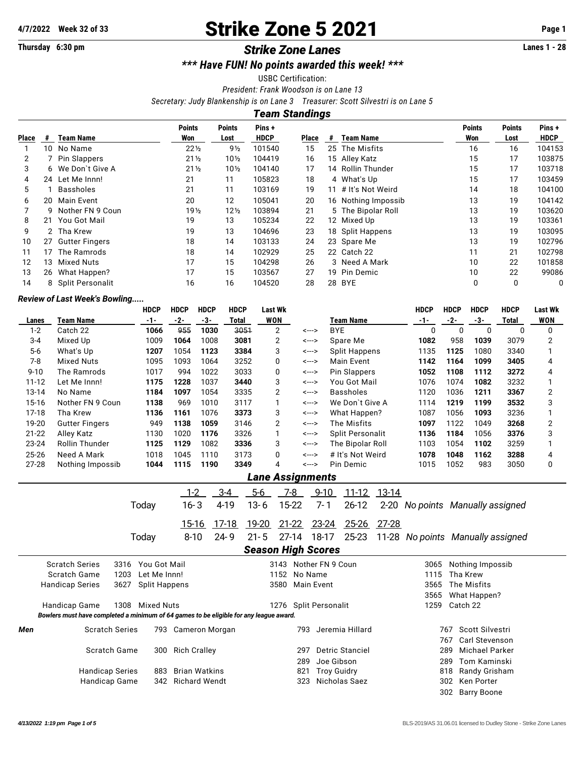# **4/7/2022** Week 32 of 33 **Strike Zone 5 2021** Page 1<br>
Thursday 6:30 pm<br> **Ctrike Zone Lanes** 1 anes

#### **Thursday 6:30 pm Strike Zone Lanes**

*\*\*\* Have FUN! No points awarded this week! \*\*\**

USBC Certification:

*President: Frank Woodson is on Lane 13*

*Secretary: Judy Blankenship is on Lane 3 Treasurer: Scott Silvestri is on Lane 5*

*Team Standings*

|              |    |                       | <b>Points</b>   | <b>Points</b>   | Pins+       |       |   |                     | <b>Points</b> | <b>Points</b> | Pins+       |
|--------------|----|-----------------------|-----------------|-----------------|-------------|-------|---|---------------------|---------------|---------------|-------------|
| <b>Place</b> | #  | Team Name             | Won             | Lost            | <b>HDCP</b> | Place | # | <b>Team Name</b>    | Won           | Lost          | <b>HDCP</b> |
|              | 10 | No Name               | $22\frac{1}{2}$ | $9\frac{1}{2}$  | 101540      | 15    |   | 25 The Misfits      | 16            | 16            | 104153      |
| 2            |    | <b>Pin Slappers</b>   | $21\frac{1}{2}$ | $10\frac{1}{2}$ | 104419      | 16    |   | 15 Alley Katz       | 15            | 17            | 103875      |
| 3            |    | 6 We Don't Give A     | $21\frac{1}{2}$ | $10\frac{1}{2}$ | 104140      | 17    |   | 14 Rollin Thunder   | 15            | 17            | 103718      |
| 4            |    | 24 Let Me Innn!       | 21              | 11              | 105823      | 18    |   | 4 What's Up         | 15            | 17            | 103459      |
| 5            |    | <b>Bassholes</b>      | 21              | 11              | 103169      | 19    |   | 11 # It's Not Weird | 14            | 18            | 104100      |
| 6            | 20 | Main Event            | 20              | 12              | 105041      | 20    |   | 16 Nothing Impossib | 13            | 19            | 104142      |
|              |    | 9 Nother FN 9 Coun    | 19 <sub>2</sub> | $12\frac{1}{2}$ | 103894      | 21    |   | 5 The Bipolar Roll  | 13            | 19            | 103620      |
| 8            | 21 | You Got Mail          | 19              | 13              | 105234      | 22    |   | 12 Mixed Up         | 13            | 19            | 103361      |
| 9            |    | 2 Tha Krew            | 19              | 13              | 104696      | 23    |   | 18 Split Happens    | 13            | 19            | 103095      |
| 10           | 27 | <b>Gutter Fingers</b> | 18              | 14              | 103133      | 24    |   | 23 Spare Me         | 13            | 19            | 102796      |
| 11           | 17 | The Ramrods           | 18              | 14              | 102929      | 25    |   | 22 Catch 22         | 11            | 21            | 102798      |
| 12           | 13 | Mixed Nuts            | 17              | 15              | 104298      | 26    |   | 3 Need A Mark       | 10            | 22            | 101858      |
| 13           | 26 | What Happen?          | 17              | 15              | 103567      | 27    |   | 19 Pin Demic        | 10            | 22            | 99086       |
| 14           |    | 8 Split Personalit    | 16              | 16              | 104520      | 28    |   | 28 BYE              | 0             | 0             | 0           |

#### *Review of Last Week's Bowling.....*

|                                                                              |                                                                                        | <b>HDCP</b>          | <b>HDCP</b>          | <b>HDCP</b>          | <b>HDCP</b>               | <b>Last Wk</b>        |                           |           |                        |                   | <b>HDCP</b>                       | <b>HDCP</b>          | <b>HDCP</b>           | <b>HDCP</b> | <b>Last Wk</b> |  |  |
|------------------------------------------------------------------------------|----------------------------------------------------------------------------------------|----------------------|----------------------|----------------------|---------------------------|-----------------------|---------------------------|-----------|------------------------|-------------------|-----------------------------------|----------------------|-----------------------|-------------|----------------|--|--|
| Lanes                                                                        | <b>Team Name</b>                                                                       | $-1-$                | $-2-$                | $-3-$                | <b>Total</b>              | <b>WON</b>            |                           |           | <b>Team Name</b>       | $-1-$             | $-2-$                             | $-3-$                | <b>Total</b>          | <b>WON</b>  |                |  |  |
| $1 - 2$                                                                      | Catch 22                                                                               | 1066                 | 955                  | 1030                 | 3051                      | 2                     |                           | <--->     | <b>BYE</b>             |                   | $\mathbf{0}$                      | $\mathbf 0$          | $\Omega$              | $\mathbf 0$ | 0              |  |  |
| $3 - 4$                                                                      | Mixed Up                                                                               | 1009                 | 1064                 | 1008                 | 3081                      | $\overline{2}$        |                           | <--->     | Spare Me               |                   | 1082                              | 958                  | 1039                  | 3079        | $\overline{2}$ |  |  |
| $5 - 6$                                                                      | What's Up                                                                              | 1207                 | 1054                 | 1123                 | 3384                      | 3                     |                           | <--->     | <b>Split Happens</b>   |                   | 1135                              | 1125                 | 1080                  | 3340        | 1              |  |  |
| $7 - 8$                                                                      | <b>Mixed Nuts</b>                                                                      | 1095                 | 1093                 | 1064                 | 3252                      | 0                     |                           | <--->     | <b>Main Event</b>      |                   | 1142                              | 1164                 | 1099                  | 3405        | 4              |  |  |
| $9 - 10$                                                                     | The Ramrods                                                                            | 1017                 | 994                  | 1022                 | 3033                      | 0                     |                           | <--->     | Pin Slappers           |                   | 1052                              | 1108                 | 1112                  | 3272        | 4              |  |  |
| $11 - 12$                                                                    | Let Me Innn!                                                                           | 1175                 | 1228                 | 1037                 | 3440                      | 3                     |                           | <--->     | You Got Mail           |                   | 1076                              | 1074                 | 1082                  | 3232        | 1              |  |  |
| 13-14                                                                        | No Name                                                                                | 1184                 | 1097                 | 1054                 | 3335                      | $\overline{2}$        |                           | <--->     | <b>Bassholes</b>       |                   | 1120                              | 1036                 | 1211                  | 3367        | $\overline{2}$ |  |  |
| $15 - 16$                                                                    | Nother FN 9 Coun                                                                       | 1138                 | 969                  | 1010                 | 3117                      | 1                     |                           | <--->     | We Don't Give A        |                   | 1114                              | 1219                 | 1199                  | 3532        | 3              |  |  |
| $17 - 18$                                                                    | Tha Krew                                                                               | 1136                 | 1161                 | 1076                 | 3373                      | 3                     |                           | <--->     | What Happen?           |                   | 1087                              | 1056                 | 1093                  | 3236        | 1              |  |  |
| 19-20                                                                        | <b>Gutter Fingers</b>                                                                  | 949                  | 1138                 | 1059                 | 3146                      | $\overline{2}$        |                           | <--->     | The Misfits            |                   | 1097                              | 1122                 | 1049                  | 3268        | $\overline{2}$ |  |  |
| $21 - 22$                                                                    | <b>Alley Katz</b>                                                                      | 1130                 | 1020                 | 1176                 | 3326                      | 1                     |                           | <--->     | Split Personalit       |                   | 1136                              | 1184                 | 1056                  | 3376        | 3              |  |  |
| 23-24                                                                        | Rollin Thunder                                                                         | 1125                 | 1129                 | 1082                 | 3336                      | 3                     |                           | <--->     | The Bipolar Roll       |                   | 1103                              | 1054                 | 1102                  | 3259        | 1              |  |  |
| 25-26                                                                        | Need A Mark                                                                            | 1018                 | 1045                 | 1110                 | 3173                      | 0                     |                           | <--->     | # It's Not Weird       |                   | 1078                              | 1048                 | 1162                  | 3288        | 4              |  |  |
| 27-28                                                                        | Nothing Impossib                                                                       | 1044                 | 1115                 | 1190                 | 3349                      | $\overline{4}$        |                           | <--->     | Pin Demic              |                   | 1015                              | 1052                 | 983                   | 3050        | 0              |  |  |
|                                                                              |                                                                                        |                      |                      |                      |                           |                       | <b>Lane Assignments</b>   |           |                        |                   |                                   |                      |                       |             |                |  |  |
| $1 - 2$<br>$3 - 4$<br>$5-6$<br>$7 - 8$<br>$9 - 10$<br>$11 - 12$<br>$13 - 14$ |                                                                                        |                      |                      |                      |                           |                       |                           |           |                        |                   |                                   |                      |                       |             |                |  |  |
|                                                                              |                                                                                        | Today                | $16 - 3$             |                      | 4-19<br>$13 - 6$          |                       | 15-22                     | $7 - 1$   | $26 - 12$              | $2 - 20$          | No points Manually assigned       |                      |                       |             |                |  |  |
|                                                                              |                                                                                        |                      |                      |                      |                           |                       |                           |           |                        |                   |                                   |                      |                       |             |                |  |  |
|                                                                              |                                                                                        |                      | $15 - 16$            |                      | 17-18                     | 19-20                 | $21-22$                   | $23 - 24$ | <u>25-26</u>           | $27 - 28$         |                                   |                      |                       |             |                |  |  |
|                                                                              |                                                                                        | Today                | $8 - 10$             |                      | $24 - 9$<br>$21 - 5$      |                       | $27-14$                   | 18-17     | 25-23                  |                   | 11-28 No points Manually assigned |                      |                       |             |                |  |  |
|                                                                              |                                                                                        |                      |                      |                      |                           |                       | <b>Season High Scores</b> |           |                        |                   |                                   |                      |                       |             |                |  |  |
|                                                                              | <b>Scratch Series</b><br>3316                                                          | You Got Mail         |                      |                      |                           |                       |                           |           | 3143 Nother FN 9 Coun  |                   | 3065                              |                      | Nothing Impossib      |             |                |  |  |
|                                                                              | Scratch Game<br>1203                                                                   | Let Me Innn!         |                      |                      |                           |                       | 1152<br>No Name           |           |                        |                   | 1115                              | Tha Krew             |                       |             |                |  |  |
|                                                                              | 3627<br><b>Handicap Series</b>                                                         | <b>Split Happens</b> |                      |                      | 3580<br><b>Main Event</b> |                       |                           |           |                        |                   | 3565                              |                      | The Misfits           |             |                |  |  |
|                                                                              |                                                                                        |                      |                      |                      |                           |                       |                           |           |                        |                   | 3565                              |                      | What Happen?          |             |                |  |  |
| Handicap Game<br>1308<br><b>Mixed Nuts</b>                                   |                                                                                        |                      |                      |                      |                           | 1276 Split Personalit |                           |           |                        |                   | 1259                              | Catch 22             |                       |             |                |  |  |
|                                                                              | Bowlers must have completed a minimum of 64 games to be eligible for any league award. |                      |                      |                      |                           |                       |                           |           |                        |                   |                                   |                      |                       |             |                |  |  |
| <b>Scratch Series</b><br>793 Cameron Morgan<br>Men                           |                                                                                        |                      |                      |                      |                           |                       | 793                       |           | Jeremia Hillard        |                   | Scott Silvestri<br>767            |                      |                       |             |                |  |  |
|                                                                              |                                                                                        |                      |                      |                      |                           |                       |                           |           |                        |                   |                                   | 767                  | Carl Stevenson        |             |                |  |  |
|                                                                              | Scratch Game                                                                           | 300                  |                      | <b>Rich Cralley</b>  |                           |                       | 297                       |           | <b>Detric Stanciel</b> |                   |                                   | 289                  | <b>Michael Parker</b> |             |                |  |  |
|                                                                              |                                                                                        |                      |                      |                      |                           |                       | 289                       |           | Joe Gibson             |                   | <b>Tom Kaminski</b><br>289        |                      |                       |             |                |  |  |
|                                                                              | <b>Handicap Series</b>                                                                 | 883                  |                      | <b>Brian Watkins</b> |                           |                       | 821                       |           | <b>Troy Guidry</b>     |                   |                                   | 818<br>Randy Grisham |                       |             |                |  |  |
|                                                                              | Handicap Game                                                                          | 342                  | <b>Richard Wendt</b> |                      | 323<br>Nicholas Saez      |                       |                           |           |                        | 302<br>Ken Porter |                                   |                      |                       |             |                |  |  |

302 Barry Boone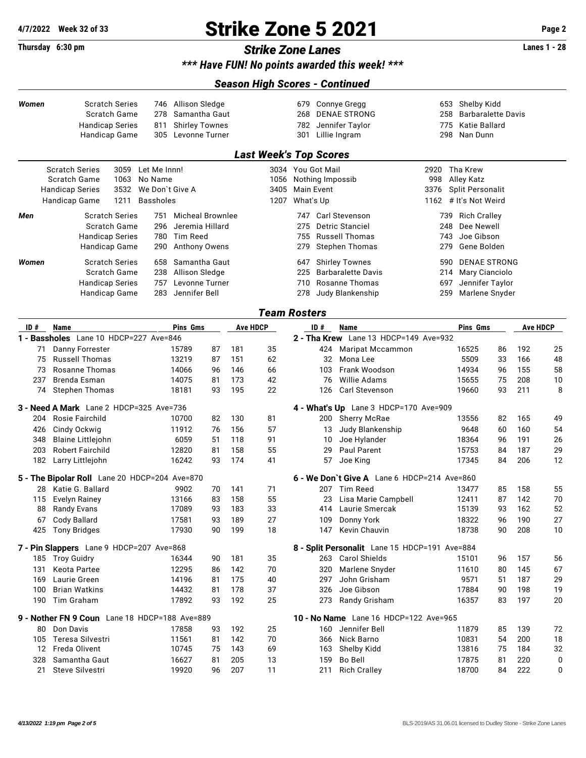## **4/7/2022 Week 32 of 33 Strike Zone 5 2021 Page 2**

### **Thursday 6:30 pm** *Strike Zone Lanes* **Lanes 1 - 28**

*\*\*\* Have FUN! No points awarded this week! \*\*\**

#### *Season High Scores - Continued*

| <b>Scratch Series</b><br>Women<br>Scratch Game<br><b>Handicap Series</b><br>Handicap Game |                                                | 746<br>278<br>811<br>305 | Allison Sledge<br>Samantha Gaut<br><b>Shirley Townes</b><br>Levonne Turner |                  |    |     | 679<br>268<br>782<br>301      |                   | <b>Connye Gregg</b><br><b>DENAE STRONG</b><br>Jennifer Taylor<br>Lillie Ingram | 653<br>258<br>775<br>298                      | Shelby Kidd<br><b>Barbaralette Davis</b><br>Katie Ballard<br>Nan Dunn |                         |    |                 |    |
|-------------------------------------------------------------------------------------------|------------------------------------------------|--------------------------|----------------------------------------------------------------------------|------------------|----|-----|-------------------------------|-------------------|--------------------------------------------------------------------------------|-----------------------------------------------|-----------------------------------------------------------------------|-------------------------|----|-----------------|----|
|                                                                                           |                                                |                          |                                                                            |                  |    |     | <b>Last Week's Top Scores</b> |                   |                                                                                |                                               |                                                                       |                         |    |                 |    |
|                                                                                           | <b>Scratch Series</b>                          | 3059 Let Me Innn!        |                                                                            |                  |    |     |                               | 3034 You Got Mail |                                                                                |                                               |                                                                       | 2920 Tha Krew           |    |                 |    |
|                                                                                           | Scratch Game                                   | 1063                     | No Name                                                                    |                  |    |     | 1056                          | Nothing Impossib  |                                                                                |                                               | 998                                                                   | Alley Katz              |    |                 |    |
|                                                                                           | <b>Handicap Series</b>                         | 3532                     | We Don't Give A                                                            |                  |    |     | 3405                          | <b>Main Event</b> |                                                                                |                                               | 3376                                                                  | <b>Split Personalit</b> |    |                 |    |
|                                                                                           | Handicap Game                                  | 1211                     | <b>Bassholes</b>                                                           |                  |    |     | 1207                          | What's Up         |                                                                                |                                               |                                                                       | 1162 # It's Not Weird   |    |                 |    |
| Men                                                                                       |                                                | <b>Scratch Series</b>    | 751                                                                        | Micheal Brownlee |    |     |                               |                   |                                                                                | 747 Carl Stevenson                            | 739                                                                   | <b>Rich Cralley</b>     |    |                 |    |
|                                                                                           |                                                | Scratch Game             | 296                                                                        | Jeremia Hillard  |    |     |                               | 275               |                                                                                | Detric Stanciel                               | 248                                                                   | Dee Newell              |    |                 |    |
|                                                                                           | <b>Handicap Series</b>                         |                          | 780                                                                        | Tim Reed         |    |     |                               | 755               |                                                                                | <b>Russell Thomas</b>                         | 743                                                                   | Joe Gibson              |    |                 |    |
|                                                                                           |                                                | Handicap Game            | 290                                                                        | Anthony Owens    |    |     |                               | 279               |                                                                                | <b>Stephen Thomas</b>                         | 279                                                                   | Gene Bolden             |    |                 |    |
| Women                                                                                     |                                                | <b>Scratch Series</b>    | 658                                                                        | Samantha Gaut    |    |     |                               | 647               |                                                                                | <b>Shirley Townes</b>                         | 590                                                                   | <b>DENAE STRONG</b>     |    |                 |    |
|                                                                                           |                                                | Scratch Game             | 238                                                                        | Allison Sledge   |    |     |                               | 225               |                                                                                | <b>Barbaralette Davis</b>                     | 214                                                                   | Mary Cianciolo          |    |                 |    |
|                                                                                           | <b>Handicap Series</b>                         |                          | 757                                                                        | Levonne Turner   |    |     |                               | 710               |                                                                                | Rosanne Thomas                                | 697                                                                   | Jennifer Taylor         |    |                 |    |
|                                                                                           |                                                | Handicap Game            | 283                                                                        | Jennifer Bell    |    |     |                               | 278               |                                                                                | Judy Blankenship                              | 259                                                                   | Marlene Snyder          |    |                 |    |
|                                                                                           |                                                |                          |                                                                            |                  |    |     | <b>Team Rosters</b>           |                   |                                                                                |                                               |                                                                       |                         |    |                 |    |
| ID#                                                                                       | Name                                           |                          |                                                                            | <b>Pins Gms</b>  |    |     | <b>Ave HDCP</b>               |                   | ID#                                                                            | Name                                          |                                                                       | Pins Gms                |    | <b>Ave HDCP</b> |    |
|                                                                                           | 1 - Bassholes Lane 10 HDCP=227 Ave=846         |                          |                                                                            |                  |    |     |                               |                   |                                                                                | 2 - Tha Krew Lane 13 HDCP=149 Ave=932         |                                                                       |                         |    |                 |    |
| 71                                                                                        | Danny Forrester                                |                          |                                                                            | 15789            | 87 | 181 | 35                            |                   | 424                                                                            | <b>Maripat Mccammon</b>                       |                                                                       | 16525                   | 86 | 192             | 25 |
| 75                                                                                        | <b>Russell Thomas</b>                          |                          |                                                                            | 13219            | 87 | 151 | 62                            |                   | 32                                                                             | Mona Lee                                      |                                                                       | 5509                    | 33 | 166             | 48 |
| 73                                                                                        | Rosanne Thomas                                 |                          |                                                                            | 14066            | 96 | 146 | 66                            |                   | 103                                                                            | Frank Woodson                                 |                                                                       | 14934                   | 96 | 155             | 58 |
| 237                                                                                       | Brenda Esman                                   |                          |                                                                            | 14075            | 81 | 173 | 42                            |                   | 76                                                                             | Willie Adams                                  |                                                                       | 15655                   | 75 | 208             | 10 |
| 74                                                                                        | <b>Stephen Thomas</b>                          |                          |                                                                            | 18181            | 93 | 195 | 22                            |                   | 126                                                                            | Carl Stevenson                                |                                                                       | 19660                   | 93 | 211             | 8  |
|                                                                                           | <b>3 - Need A Mark</b> Lane 2 HDCP=325 Ave=736 |                          |                                                                            |                  |    |     |                               |                   |                                                                                | 4 - What's Up Lane 3 HDCP=170 Ave=909         |                                                                       |                         |    |                 |    |
| 204                                                                                       | Rosie Fairchild                                |                          |                                                                            | 10700            | 82 | 130 | 81                            |                   | 200                                                                            | <b>Sherry McRae</b>                           |                                                                       | 13556                   | 82 | 165             | 49 |
| 426                                                                                       | Cindy Ockwig                                   |                          |                                                                            | 11912            | 76 | 156 | 57                            |                   | 13                                                                             | Judy Blankenship                              |                                                                       | 9648                    | 60 | 160             | 54 |
| 348                                                                                       | <b>Blaine Littlejohn</b>                       |                          |                                                                            | 6059             | 51 | 118 | 91                            |                   | 10                                                                             | Joe Hylander                                  |                                                                       | 18364                   | 96 | 191             | 26 |
| 203                                                                                       | <b>Robert Fairchild</b>                        |                          |                                                                            | 12820            | 81 | 158 | 55                            |                   | 29                                                                             | Paul Parent                                   |                                                                       | 15753                   | 84 | 187             | 29 |
| 182                                                                                       | Larry Littlejohn                               |                          |                                                                            | 16242            | 93 | 174 | 41                            |                   | 57                                                                             | Joe King                                      |                                                                       | 17345                   | 84 | 206             | 12 |
|                                                                                           | 5 - The Bipolar Roll Lane 20 HDCP=204 Ave=870  |                          |                                                                            |                  |    |     |                               |                   |                                                                                | $6$ - We Don't Give A Lane 6 HDCP=214 Ave=860 |                                                                       |                         |    |                 |    |
| 28.                                                                                       | Katie G. Ballard                               |                          |                                                                            | 9902             | 70 | 141 | 71                            |                   | 207                                                                            | <b>Tim Reed</b>                               |                                                                       | 13477                   | 85 | 158             | 55 |
| 115                                                                                       | <b>Evelyn Rainey</b>                           |                          |                                                                            | 13166            | 83 | 158 | 55                            |                   | 23                                                                             | Lisa Marie Campbell                           |                                                                       | 12411                   | 87 | 142             | 70 |
| 88                                                                                        | <b>Randy Evans</b>                             |                          |                                                                            | 17089            | 93 | 183 | 33                            |                   | 414                                                                            | Laurie Smercak                                |                                                                       | 15139                   | 93 | 162             | 52 |
| 67                                                                                        | Cody Ballard                                   |                          |                                                                            | 17581            | 93 | 189 | 27                            |                   | 109                                                                            | Donny York                                    |                                                                       | 18322                   | 96 | 190             | 27 |
|                                                                                           | 425 Tony Bridges                               |                          |                                                                            | 17930            | 90 | 199 | 18                            |                   |                                                                                | 147 Kevin Chauvin                             |                                                                       | 18738                   | 90 | 208             | 10 |
|                                                                                           | 7 - Pin Slappers Lane 9 HDCP=207 Ave=868       |                          |                                                                            |                  |    |     |                               |                   |                                                                                | 8 - Split Personalit Lane 15 HDCP=191 Ave=884 |                                                                       |                         |    |                 |    |
|                                                                                           | 185 Troy Guidry                                |                          |                                                                            | 16344            | 90 | 181 | 35                            |                   |                                                                                | 263 Carol Shields                             |                                                                       | 15101                   | 96 | 157             | 56 |
| 131                                                                                       | Keota Partee                                   |                          |                                                                            | 12295            | 86 | 142 | 70                            |                   | 320                                                                            | Marlene Snyder                                |                                                                       | 11610                   | 80 | 145             | 67 |
| 169                                                                                       | Laurie Green                                   |                          |                                                                            | 14196            | 81 | 175 | 40                            |                   | 297                                                                            | John Grisham                                  |                                                                       | 9571                    | 51 | 187             | 29 |
| 100                                                                                       | <b>Brian Watkins</b>                           |                          |                                                                            | 14432            | 81 | 178 | 37                            |                   | 326                                                                            | Joe Gibson                                    |                                                                       | 17884                   | 90 | 198             | 19 |
|                                                                                           | 190 Tim Graham                                 |                          |                                                                            | 17892            | 93 | 192 | 25                            |                   | 273                                                                            | Randy Grisham                                 |                                                                       | 16357                   | 83 | 197             | 20 |
|                                                                                           | 9 - Nother FN 9 Coun Lane 18 HDCP=188 Ave=889  |                          |                                                                            |                  |    |     |                               |                   |                                                                                | 10 - No Name Lane 16 HDCP=122 Ave=965         |                                                                       |                         |    |                 |    |
|                                                                                           | 80 Don Davis                                   |                          |                                                                            | 17858            | 93 | 192 | 25                            |                   |                                                                                | 160 Jennifer Bell                             |                                                                       | 11879                   | 85 | 139             | 72 |
| 105                                                                                       | Teresa Silvestri                               |                          |                                                                            | 11561            | 81 | 142 | 70                            |                   | 366                                                                            | Nick Barno                                    |                                                                       | 10831                   | 54 | 200             | 18 |
|                                                                                           | 12 Freda Olivent                               |                          |                                                                            | 10745            | 75 | 143 | 69                            |                   | 163                                                                            | Shelby Kidd                                   |                                                                       | 13816                   | 75 | 184             | 32 |
| 328                                                                                       | Samantha Gaut                                  |                          |                                                                            | 16627            | 81 | 205 | 13                            |                   | 159                                                                            | Bo Bell                                       |                                                                       | 17875                   | 81 | 220             | 0  |
| 21                                                                                        | Steve Silvestri                                |                          |                                                                            | 19920            | 96 | 207 | 11                            |                   | 211                                                                            | <b>Rich Cralley</b>                           |                                                                       | 18700                   | 84 | 222             | 0  |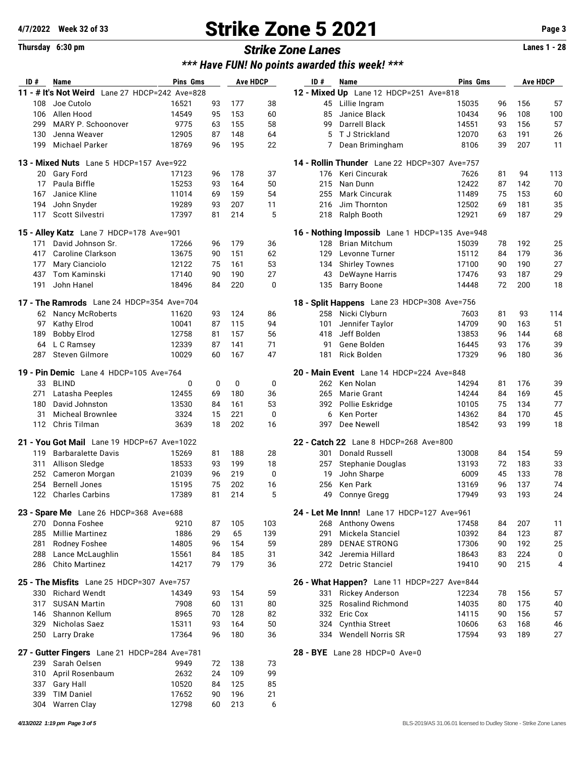## **4/7/2022 Week 32 of 33 Strike Zone 5 2021 Page 3**

### *\*\*\* Have FUN! No points awarded this week! \*\*\**

| ID#       | Name                                           | Pins Gms |    |     | <b>Ave HDCP</b> | ID# | Name                                                | Pins Gms |    |     | <b>Ave HDCP</b> |
|-----------|------------------------------------------------|----------|----|-----|-----------------|-----|-----------------------------------------------------|----------|----|-----|-----------------|
|           | 11 - # It's Not Weird Lane 27 HDCP=242 Ave=828 |          |    |     |                 |     | 12 - Mixed Up Lane 12 HDCP=251 Ave=818              |          |    |     |                 |
| 108       | Joe Cutolo                                     | 16521    | 93 | 177 | 38              | 45  | Lillie Ingram                                       | 15035    | 96 | 156 | 57              |
| 106       | Allen Hood                                     | 14549    | 95 | 153 | 60              | 85  | Janice Black                                        | 10434    | 96 | 108 | 100             |
| 299       | MARY P. Schoonover                             | 9775     | 63 | 155 | 58              | 99  | <b>Darrell Black</b>                                | 14551    | 93 | 156 | 57              |
| 130       | Jenna Weaver                                   | 12905    | 87 | 148 | 64              | 5   | T J Strickland                                      | 12070    | 63 | 191 | 26              |
| 199       | Michael Parker                                 | 18769    | 96 | 195 | 22              | 7   | Dean Brimingham                                     | 8106     | 39 | 207 | 11              |
|           | 13 - Mixed Nuts Lane 5 HDCP=157 Ave=922        |          |    |     |                 |     | <b>14 - Rollin Thunder</b> Lane 22 HDCP=307 Ave=757 |          |    |     |                 |
|           |                                                |          |    |     |                 |     |                                                     |          |    |     |                 |
| 20        | <b>Gary Ford</b>                               | 17123    | 96 | 178 | 37              | 176 | Keri Cincurak                                       | 7626     | 81 | 94  | 113             |
| 17        | Paula Biffle                                   | 15253    | 93 | 164 | 50              | 215 | Nan Dunn                                            | 12422    | 87 | 142 | 70              |
| 167       | Janice Kline                                   | 11014    | 69 | 159 | 54              | 255 | <b>Mark Cincurak</b>                                | 11489    | 75 | 153 | 60              |
| 194       | John Snyder                                    | 19289    | 93 | 207 | 11              | 216 | Jim Thornton                                        | 12502    | 69 | 181 | 35              |
| 117       | Scott Silvestri                                | 17397    | 81 | 214 | 5               | 218 | Ralph Booth                                         | 12921    | 69 | 187 | 29              |
|           | 15 - Alley Katz Lane 7 HDCP=178 Ave=901        |          |    |     |                 |     | 16 - Nothing Impossib Lane 1 HDCP=135 Ave=948       |          |    |     |                 |
| 171       | David Johnson Sr.                              | 17266    | 96 | 179 | 36              | 128 | Brian Mitchum                                       | 15039    | 78 | 192 | 25              |
| 417       | Caroline Clarkson                              | 13675    | 90 | 151 | 62              | 129 | Levonne Turner                                      | 15112    | 84 | 179 | 36              |
| 177       | Mary Cianciolo                                 | 12122    | 75 | 161 | 53              | 134 | <b>Shirley Townes</b>                               | 17100    | 90 | 190 | 27              |
| 437       | Tom Kaminski                                   | 17140    | 90 | 190 | 27              | 43  | DeWayne Harris                                      | 17476    | 93 | 187 | 29              |
| 191       | John Hanel                                     | 18496    | 84 | 220 | $\mathbf 0$     | 135 | <b>Barry Boone</b>                                  | 14448    | 72 | 200 | 18              |
|           | 17 - The Ramrods Lane 24 HDCP=354 Ave=704      |          |    |     |                 |     | 18 - Split Happens Lane 23 HDCP=308 Ave=756         |          |    |     |                 |
| 62        | <b>Nancy McRoberts</b>                         | 11620    | 93 | 124 | 86              | 258 | Nicki Clyburn                                       | 7603     | 81 | 93  | 114             |
| 97        | Kathy Elrod                                    | 10041    | 87 | 115 | 94              | 101 | Jennifer Taylor                                     | 14709    | 90 | 163 | 51              |
| 189       | <b>Bobby Elrod</b>                             | 12758    | 81 | 157 | 56              | 418 | Jeff Bolden                                         | 13853    | 96 | 144 | 68              |
|           | L C Ramsey                                     | 12339    | 87 | 141 | 71              | 91  | Gene Bolden                                         | 16445    | 93 | 176 | 39              |
| 64<br>287 | Steven Gilmore                                 | 10029    | 60 | 167 | 47              | 181 | <b>Rick Bolden</b>                                  | 17329    | 96 | 180 | 36              |
|           |                                                |          |    |     |                 |     |                                                     |          |    |     |                 |
|           | 19 - Pin Demic Lane 4 HDCP=105 Ave=764         |          |    |     |                 |     | 20 - Main Event Lane 14 HDCP=224 Ave=848            |          |    |     |                 |
| 33        | <b>BLIND</b>                                   | 0        | 0  | 0   | 0               |     | 262 Ken Nolan                                       | 14294    | 81 | 176 | 39              |
| 271       | Latasha Peeples                                | 12455    | 69 | 180 | 36              | 265 | Marie Grant                                         | 14244    | 84 | 169 | 45              |
| 180       | David Johnston                                 | 13530    | 84 | 161 | 53              | 392 | Pollie Eskridge                                     | 10105    | 75 | 134 | 77              |
| 31        | <b>Micheal Brownlee</b>                        | 3324     | 15 | 221 | $\mathbf 0$     | 6   | Ken Porter                                          | 14362    | 84 | 170 | 45              |
| 112       | Chris Tilman                                   | 3639     | 18 | 202 | 16              | 397 | Dee Newell                                          | 18542    | 93 | 199 | 18              |
|           | 21 - You Got Mail Lane 19 HDCP=67 Ave=1022     |          |    |     |                 |     | 22 - Catch 22 Lane 8 HDCP=268 Ave=800               |          |    |     |                 |
| 119       | <b>Barbaralette Davis</b>                      | 15269    | 81 | 188 | 28              | 301 | Donald Russell                                      | 13008    | 84 | 154 | 59              |
| 311       | Allison Sledge                                 | 18533    | 93 | 199 | 18              | 257 | Stephanie Douglas                                   | 13193    | 72 | 183 | 33              |
| 252       | Cameron Morgan                                 | 21039    | 96 | 219 | 0               | 19  | John Sharpe                                         | 6009     | 45 | 133 | 78              |
| 254       | <b>Bernell Jones</b>                           | 15195    | 75 | 202 | 16              | 256 | Ken Park                                            | 13169    | 96 | 137 | 74              |
| 122       | <b>Charles Carbins</b>                         | 17389    | 81 | 214 | 5               | 49  | <b>Connye Gregg</b>                                 | 17949    | 93 | 193 | 24              |
|           |                                                |          |    |     |                 |     |                                                     |          |    |     |                 |
|           | 23 - Spare Me Lane 26 HDCP=368 Ave=688         |          |    |     |                 |     | 24 - Let Me Innn! Lane 17 HDCP=127 Ave=961          |          |    |     |                 |
|           | 270 Donna Foshee                               | 9210     | 87 | 105 | 103             |     | 268 Anthony Owens                                   | 17458    | 84 | 207 | 11              |
| 285       | <b>Millie Martinez</b>                         | 1886     | 29 | 65  | 139             | 291 | Mickela Stanciel                                    | 10392    | 84 | 123 | 87              |
| 281       | Rodney Foshee                                  | 14805    | 96 | 154 | 59              | 289 | <b>DENAE STRONG</b>                                 | 17306    | 90 | 192 | 25              |
| 288       | Lance McLaughlin                               | 15561    | 84 | 185 | 31              |     | 342 Jeremia Hillard                                 | 18643    | 83 | 224 | 0               |
| 286       | <b>Chito Martinez</b>                          | 14217    | 79 | 179 | 36              |     | 272 Detric Stanciel                                 | 19410    | 90 | 215 | 4               |
|           | 25 - The Misfits Lane 25 HDCP=307 Ave=757      |          |    |     |                 |     | 26 - What Happen? Lane 11 HDCP=227 Ave=844          |          |    |     |                 |
| 330       | <b>Richard Wendt</b>                           | 14349    | 93 | 154 | 59              |     | 331 Rickey Anderson                                 | 12234    | 78 | 156 | 57              |
| 317       | <b>SUSAN Martin</b>                            | 7908     | 60 | 131 | 80              | 325 | <b>Rosalind Richmond</b>                            | 14035    | 80 | 175 | 40              |
| 146       | Shannon Kellum                                 | 8965     | 70 | 128 | 82              |     | 332 Eric Cox                                        | 14115    | 90 | 156 | 57              |
| 329       | Nicholas Saez                                  | 15311    | 93 | 164 | 50              |     | 324 Cynthia Street                                  | 10606    | 63 | 168 | 46              |
|           | 250 Larry Drake                                | 17364    | 96 | 180 | 36              |     | 334 Wendell Norris SR                               | 17594    | 93 | 189 | 27              |
|           | 27 - Gutter Fingers Lane 21 HDCP=284 Ave=781   |          |    |     |                 |     | 28 - BYE Lane 28 HDCP=0 Ave=0                       |          |    |     |                 |
|           | Sarah Oelsen                                   |          | 72 | 138 | 73              |     |                                                     |          |    |     |                 |
| 239       |                                                | 9949     |    |     |                 |     |                                                     |          |    |     |                 |
| 310       | April Rosenbaum                                | 2632     | 24 | 109 | 99              |     |                                                     |          |    |     |                 |
| 337       | Gary Hall                                      | 10520    | 84 | 125 | 85              |     |                                                     |          |    |     |                 |
| 339       | <b>TIM Daniel</b>                              | 17652    | 90 | 196 | 21              |     |                                                     |          |    |     |                 |
| 304       | <b>Warren Clay</b>                             | 12798    | 60 | 213 | 6               |     |                                                     |          |    |     |                 |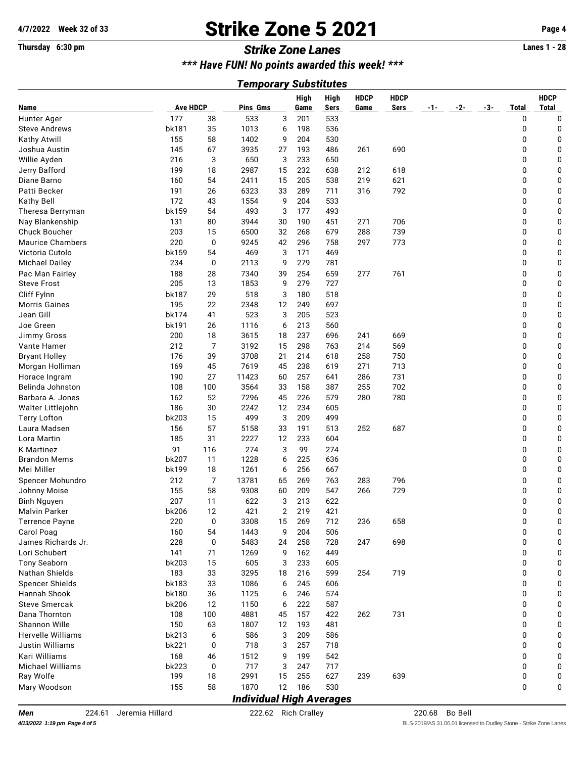## **4/7/2022 Week 32 of 33 Strike Zone 5 2021 Page 4**

#### **Thursday 6:30 pm** *Strike Zone Lanes* **Lanes 1 - 28**

*\*\*\* Have FUN! No points awarded this week! \*\*\**

#### *Temporary Substitutes*

|                          |                 |     |                                 |    | High | <b>High</b> | <b>HDCP</b> | <b>HDCP</b> |     |     |       |              | <b>HDCP</b>  |
|--------------------------|-----------------|-----|---------------------------------|----|------|-------------|-------------|-------------|-----|-----|-------|--------------|--------------|
| Name                     | <b>Ave HDCP</b> |     | Pins Gms                        |    | Game | <b>Sers</b> | Game        | <b>Sers</b> | -1- | -2- | $-3-$ | <b>Total</b> | <b>Total</b> |
| Hunter Ager              | 177             | 38  | 533                             | 3  | 201  | 533         |             |             |     |     |       | 0            | 0            |
| <b>Steve Andrews</b>     | bk181           | 35  | 1013                            | 6  | 198  | 536         |             |             |     |     |       | 0            | 0            |
| Kathy Atwill             | 155             | 58  | 1402                            | 9  | 204  | 530         |             |             |     |     |       | 0            | 0            |
| Joshua Austin            | 145             | 67  | 3935                            | 27 | 193  | 486         | 261         | 690         |     |     |       | 0            | 0            |
| Willie Ayden             | 216             | 3   | 650                             | 3  | 233  | 650         |             |             |     |     |       | 0            | 0            |
| Jerry Bafford            | 199             | 18  | 2987                            | 15 | 232  | 638         | 212         | 618         |     |     |       | 0            | 0            |
| Diane Barno              | 160             | 54  | 2411                            | 15 | 205  | 538         | 219         | 621         |     |     |       | 0            | 0            |
| Patti Becker             | 191             | 26  | 6323                            | 33 | 289  | 711         | 316         | 792         |     |     |       | 0            | 0            |
| Kathy Bell               | 172             | 43  | 1554                            | 9  | 204  | 533         |             |             |     |     |       | 0            | 0            |
| Theresa Berryman         | bk159           | 54  | 493                             | 3  | 177  | 493         |             |             |     |     |       | 0            | 0            |
| Nay Blankenship          | 131             | 80  | 3944                            | 30 | 190  | 451         | 271         | 706         |     |     |       | 0            | 0            |
| Chuck Boucher            | 203             | 15  | 6500                            | 32 | 268  | 679         | 288         | 739         |     |     |       | 0            | 0            |
| <b>Maurice Chambers</b>  | 220             | 0   | 9245                            | 42 | 296  | 758         | 297         | 773         |     |     |       | 0            | 0            |
| Victoria Cutolo          | bk159           | 54  | 469                             | 3  | 171  | 469         |             |             |     |     |       | 0            | 0            |
| <b>Michael Dailey</b>    | 234             | 0   | 2113                            | 9  | 279  | 781         |             |             |     |     |       | 0            | 0            |
| Pac Man Fairley          | 188             | 28  | 7340                            | 39 | 254  | 659         | 277         | 761         |     |     |       | 0            | 0            |
| <b>Steve Frost</b>       | 205             | 13  | 1853                            | 9  | 279  | 727         |             |             |     |     |       | 0            | 0            |
| Cliff Fylnn              | bk187           | 29  | 518                             | 3  | 180  | 518         |             |             |     |     |       | 0            | 0            |
| <b>Morris Gaines</b>     | 195             | 22  | 2348                            | 12 | 249  | 697         |             |             |     |     |       | 0            | 0            |
| Jean Gill                | bk174           | 41  | 523                             | 3  | 205  | 523         |             |             |     |     |       | 0            | 0            |
| Joe Green                | bk191           | 26  | 1116                            | 6  | 213  | 560         |             |             |     |     |       | 0            | 0            |
| <b>Jimmy Gross</b>       | 200             | 18  | 3615                            | 18 | 237  | 696         | 241         | 669         |     |     |       | 0            | 0            |
| Vante Hamer              | 212             | 7   | 3192                            | 15 | 298  | 763         | 214         | 569         |     |     |       | 0            | 0            |
| <b>Bryant Holley</b>     | 176             | 39  | 3708                            | 21 | 214  | 618         | 258         | 750         |     |     |       | 0            | 0            |
| Morgan Holliman          | 169             | 45  | 7619                            | 45 | 238  | 619         | 271         | 713         |     |     |       | 0            | 0            |
| Horace Ingram            | 190             | 27  | 11423                           | 60 | 257  | 641         | 286         | 731         |     |     |       | 0            | 0            |
| Belinda Johnston         | 108             | 100 | 3564                            | 33 | 158  | 387         | 255         | 702         |     |     |       | 0            | 0            |
| Barbara A. Jones         | 162             | 52  | 7296                            | 45 | 226  | 579         | 280         | 780         |     |     |       | 0            | 0            |
| Walter Littlejohn        | 186             | 30  | 2242                            | 12 | 234  | 605         |             |             |     |     |       | 0            | 0            |
| <b>Terry Lofton</b>      | bk203           | 15  | 499                             | 3  | 209  | 499         |             |             |     |     |       | 0            | 0            |
| Laura Madsen             | 156             | 57  | 5158                            | 33 | 191  | 513         | 252         | 687         |     |     |       | 0            | 0            |
| Lora Martin              | 185             | 31  | 2227                            | 12 | 233  | 604         |             |             |     |     |       | 0            | 0            |
| K Martinez               | 91              | 116 | 274                             | 3  | 99   | 274         |             |             |     |     |       | 0            | 0            |
| <b>Brandon Mems</b>      | bk207           | 11  | 1228                            | 6  | 225  | 636         |             |             |     |     |       | 0            | 0            |
| Mei Miller               | bk199           | 18  | 1261                            | 6  | 256  | 667         |             |             |     |     |       | 0            | 0            |
| Spencer Mohundro         | 212             | 7   | 13781                           | 65 | 269  | 763         | 283         | 796         |     |     |       | 0            | 0            |
| Johnny Moise             | 155             | 58  | 9308                            | 60 | 209  | 547         | 266         | 729         |     |     |       | 0            | 0            |
| <b>Binh Nguyen</b>       | 207             | 11  | 622                             | 3  | 213  | 622         |             |             |     |     |       | 0            | 0            |
| <b>Malvin Parker</b>     | bk206           | 12  | 421                             | 2  | 219  | 421         |             |             |     |     |       | 0            | 0            |
| Terrence Payne           | 220             | 0   | 3308                            | 15 | 269  | 712         | 236         | 658         |     |     |       | 0            | 0            |
| Carol Poag               | 160             | 54  | 1443                            | 9  | 204  | 506         |             |             |     |     |       | 0            | 0            |
| James Richards Jr.       | 228             | 0   | 5483                            | 24 | 258  | 728         | 247         | 698         |     |     |       | 0            | 0            |
| Lori Schubert            | 141             | 71  | 1269                            | 9  | 162  | 449         |             |             |     |     |       | 0            | 0            |
| <b>Tony Seaborn</b>      | bk203           | 15  | 605                             | 3  | 233  | 605         |             |             |     |     |       | 0            | 0            |
| Nathan Shields           | 183             | 33  | 3295                            | 18 | 216  | 599         | 254         | 719         |     |     |       | 0            | 0            |
| Spencer Shields          | bk183           | 33  | 1086                            | 6  | 245  | 606         |             |             |     |     |       | 0            | 0            |
| Hannah Shook             | bk180           | 36  | 1125                            | 6  | 246  | 574         |             |             |     |     |       | 0            | 0            |
| <b>Steve Smercak</b>     | bk206           | 12  | 1150                            | 6  | 222  | 587         |             |             |     |     |       | 0            | 0            |
| Dana Thornton            | 108             | 100 | 4881                            | 45 | 157  | 422         | 262         | 731         |     |     |       | 0            | 0            |
| Shannon Wille            | 150             | 63  | 1807                            | 12 | 193  | 481         |             |             |     |     |       | 0            | 0            |
| <b>Hervelle Williams</b> | bk213           | 6   | 586                             | 3  | 209  | 586         |             |             |     |     |       | 0            | 0            |
| <b>Justin Williams</b>   | bk221           | 0   | 718                             | 3  | 257  | 718         |             |             |     |     |       | 0            | 0            |
| Kari Williams            | 168             | 46  | 1512                            | 9  | 199  | 542         |             |             |     |     |       | 0            | 0            |
| Michael Williams         | bk223           | 0   | 717                             | 3  | 247  | 717         |             |             |     |     |       | 0            | 0            |
| Ray Wolfe                | 199             | 18  | 2991                            | 15 | 255  | 627         | 239         | 639         |     |     |       | 0            | 0            |
| Mary Woodson             | 155             | 58  | 1870                            | 12 | 186  | 530         |             |             |     |     |       | 0            | 0            |
|                          |                 |     | <b>Individual High Averages</b> |    |      |             |             |             |     |     |       |              |              |